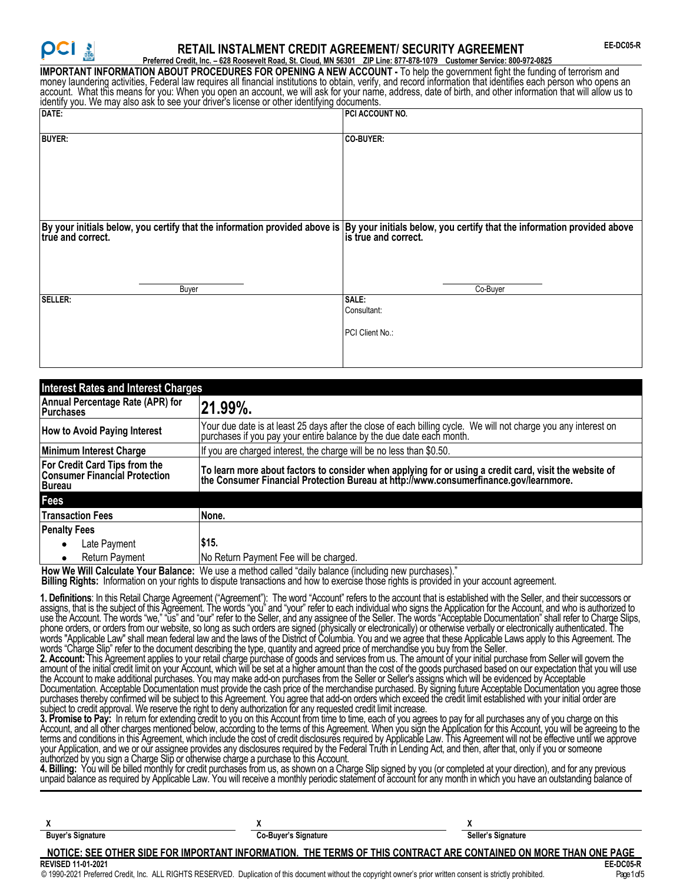# **RETAIL INSTALMENT CREDIT AGREEMENT/ SECURITY AGREEMENT**

**Preferred Credit, Inc. – 628 Roosevelt Road, St. Cloud, MN 56301 ZIP Line: 877-878-1079 Customer Service: 800-972-0825 IMPORTANT INFORMATION ABOUT PROCEDURES FOR OPENING A NEW ACCOUNT -** To help the government fight the funding of terrorism and money laundering activities, Federal law requires all financial institutions to obtain, verify, and record information that identifies each person who opens an account. What this means for you: When you open an account, we will ask for your name, address, date of birth, and other information that will allow us to identify you. We may also ask to see your driver's license or other identifying documents.

| Nothing you. Ho may also don to soo your arrivers is licence or carer laonarying accurricities.                                                                         |                                         |  |  |
|-------------------------------------------------------------------------------------------------------------------------------------------------------------------------|-----------------------------------------|--|--|
| DATE:                                                                                                                                                                   | PCI ACCOUNT NO.                         |  |  |
| <b>BUYER:</b>                                                                                                                                                           | CO-BUYER:                               |  |  |
| By your initials below, you certify that the information provided above is By your initials below, you certify that the information provided above<br>true and correct. | is true and correct.<br>Co-Buyer        |  |  |
| Buyer                                                                                                                                                                   |                                         |  |  |
| SELLER:                                                                                                                                                                 | SALE:<br>Consultant:<br>PCI Client No.: |  |  |

| <b>Interest Rates and Interest Charges</b>                               |                                                                                                                                                                                              |  |
|--------------------------------------------------------------------------|----------------------------------------------------------------------------------------------------------------------------------------------------------------------------------------------|--|
| Annual Percentage Rate (APR) for<br><b>Purchases</b>                     | 21.99%.                                                                                                                                                                                      |  |
| <b>How to Avoid Paying Interest</b>                                      | Your due date is at least 25 days after the close of each billing cycle. We will not charge you any interest on<br> purchases if you pay your entire balance by the due date each month.     |  |
| Minimum Interest Charge                                                  | If you are charged interest, the charge will be no less than \$0.50.                                                                                                                         |  |
| For Credit Card Tips from the<br>Consumer Financial Protection<br>Bureau | To learn more about factors to consider when applying for or using a credit card, visit the website of the Consumer Financial Protection Bureau at http://www.consumerfinance.gov/learnmore. |  |
| Fees                                                                     |                                                                                                                                                                                              |  |
| <b>Transaction Fees</b>                                                  | None.                                                                                                                                                                                        |  |
| <b>Penalty Fees</b>                                                      |                                                                                                                                                                                              |  |
| Late Payment<br>٠                                                        | \$15.                                                                                                                                                                                        |  |
| <b>Return Payment</b><br>٠                                               | No Return Payment Fee will be charged.                                                                                                                                                       |  |

**How We Will Calculate Your Balance:** We use a method called "daily balance (including new purchases)."

**Billing Rights:** Information on your rights to dispute transactions and how to exercise those rights is provided in your account agreement.

**1. Definitions**: In this Retail Charge Agreement ("Agreement"): The word "Account" refers to the account that is established with the Seller, and their successors or assigns, that is the subject of this Agreement. The words "you" and "your" refer to each individual who signs the Application for the Account, and who is authorized to use the Account. The words "we," "ūs" and "our" refer to the Seller, and any assignee of the Seller. The words "Acceptable Documentation" shall refer to Charge Slips, phone orders, or orders from our website, so long as such orders are signed (physically or electronically) or otherwise verbally or electronically authenticated. The words "Applicable Law" shall mean federal law and the laws of the District of Columbia. You and we agree that these Applicable Laws apply to this Agreement. The words "Charge Slip" refer to the document describing the type, quantity and agreed price of merchandise you buy from the Seller.

**2. Account:** This Agreement applies to your retail charge purchase of goods and services from us. The amount of your initial purchase from Seller will govern the amount of the initial credit limit on your Account, which will be set at a higher amount than the cost of the goods purchased based on our expectation that you will use the Account to make additional purchases. You may make add-on purchases from the Seller or Seller's assigns which will be evidenced by Acceptable Documentation. Acceptable Documentation must provide the cash price of the merchandise purchased. By signing future Acceptable Documentation you agree those purchases thereby confirmed will be subject to this Agreement. You agree that add-on orders which exceed the credit limit established with your initial order are subject to credit approval. We reserve the right to deny authorization for any requested credit limit increase.

**3. Promise to Pay:** In return for extending credit to you on this Account from time to time, each of you agrees to pay for all purchases any of you charge on this Account, and all other charges mentioned below, according to the terms of this Agreement. When you sign the Application for this Account, you will be agreeing to the terms and conditions in this Agreement, which include the cost of credit disclosures required by Applicable Law. This Agreement will not be effective until we approve your Application, and we or our assignee provides any disclosures required by the Federal Truth in Lending Act, and then, after that, only if you or someone authorized by you sign a Charge Slip or otherwise charge a purchase to this Account.

**4. Billing:** You will be billed monthly for credit purchases from us, as shown on a Charge Slip signed by you (or completed at your direction), and for any previous unpaid balance as required by Applicable Law. You will receive a monthly periodic statement of account for any month in which you have an outstanding balance of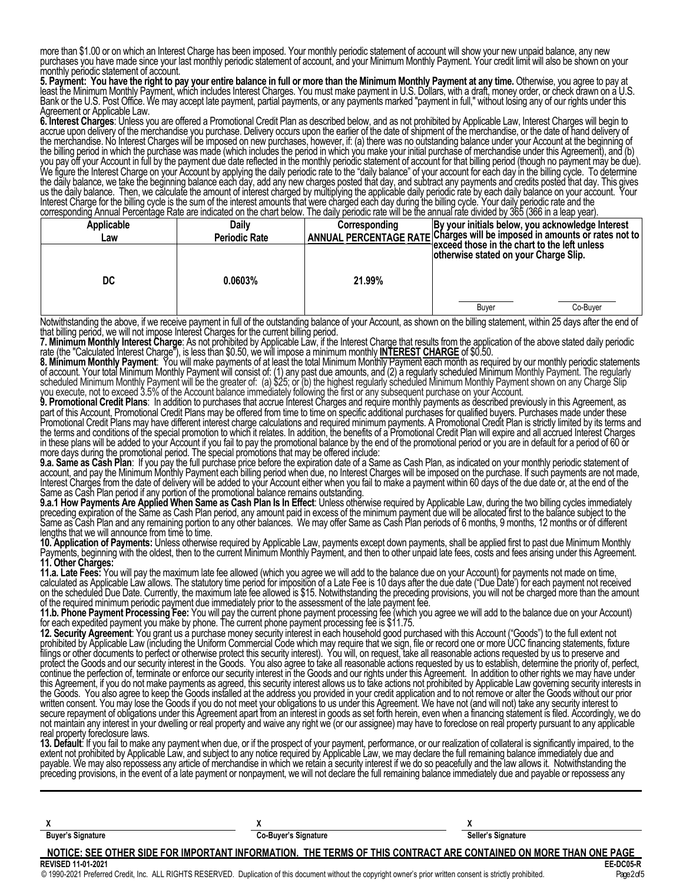more than \$1.00 or on which an Interest Charge has been imposed. Your monthly periodic statement of account will show your new unpaid balance, any new purchases you have made since your last monthly periodic statement of account, and your Minimum Monthly Payment. Your credit limit will also be shown on your monthly periodic statement of account.

5. Payment: You have the right to pay your entire balance in full or more than the Minimum Monthly Payment at any time. Otherwise, you agree to pay at least the Minimum Monthly Payment, which includes Interest Charges. You must make payment in U.S. Dollars, with a draft, money order, or check drawn on a U.S. Bank or the U.S. Post Office. We may accept late payment, partial payments, or any payments marked "payment in full," without losing any of our rights under this Agreement or Applicable Law.

**6. Interest Charges**: Unless you are offered a Promotional Credit Plan as described below, and as not prohibited by Applicable Law, Interest Charges will begin to accrue upon delivery of the merchandise you purchase. Delivery occurs upon the earlier of the date of shipment of the merchandise, or the date of hand delivery of the merchandise. No Interest Charges will be imposed on new purchases, however, if: (a) there was no outstanding balance under your Account at the beginning of the billing period in which the purchase was made (which includes the period in which you make your initial purchase of merchandise under this Agreement), and (b) you pay off your Account in full by the payment due date reflected in the monthly periodic statement of account for that billing period (though no payment may be due). We figure the Interest Charge on your Account by applying the daily periodic rate to the "daily balance" of your account for each day in the billing cycle. To determine the daily balance, we take the beginning balance each day, add any new charges posted that day, and subtract any payments and credits posted that day. This gives us the daily balance. Then, we calculate the amount of interest charged by multiplying the applicable daily periodic rate by each daily balance on your account. Your Interest Charge for the billing cycle is the sum of the interest amounts that were charged each day during the billing cycle. Your daily periodic rate and the corresponding Annual Percentage Rate are indicated on the chart below. The daily periodic rate will be the annual rate divided by 365 (366 in a leap year).

| Applicable | <b>Daily</b>         | Corresponding | By your initials below, you acknowledge Interest                                                            |
|------------|----------------------|---------------|-------------------------------------------------------------------------------------------------------------|
| Law        | <b>Periodic Rate</b> |               | ANNUAL PERCENTAGE RATE Charges will be imposed in amounts or rates not to                                   |
| DC         | 0.0603%              | 21.99%        | ∃exceed those in the chart to the left unless<br>otherwise stated on your Charge Slip.<br>Co-Buver<br>Buyer |

Notwithstanding the above, if we receive payment in full of the outstanding balance of your Account, as shown on the billing statement, within 25 days after the end of<br>that billing period, we will not impose Interest Charg that billing period, we will not impose Interest Charges for the current billing period.

**7. Minimum Monthly Interest Charge**: As not prohibited by Applicable Law, if the Interest Charge that results from the application of the above stated daily periodic rate (the "Calculated Interest Charge"), is less than \$0.50, we will impose a minimum monthly **INTEREST CHARGE** of \$0.50.

**8. Minimum Monthly Payment**: You will make payments of at least the total Minimum Monthly Payment each month as required by our monthly periodic statements of account. Your total Minimum Monthly Payment will consist of: (1) any past due amounts, and (2) a regularly scheduled Minimum Monthly Payment. The regularly scheduled Minimum Monthly Payment will be the greater of: (a) \$25; or (b) the highest regularly scheduled Minimum Monthly Payment shown on any Charge Slip you execute, not to exceed 3.5% of the Account balance immediately following the first or any subsequent purchase on your Account.

**9. Promotional Credit Plans**: In addition to purchases that accrue Interest Charges and require monthly payments as described previously in this Agreement, as part of this Account, Promotional Credit Plans may be offered from time to time on specific additional purchases for qualified buyers. Purchases made under these Promotional Credit Plans may have different interest charge calculations and required minimum payments. A Promotional Credit Plan is strictly limited by its terms and the terms and conditions of the special promotion to which it relates. In addition, the benefits of a Promotional Credit Plan will expire and all accrued Interest Charges in these plans will be added to your Account if you fail to pay the promotional balance by the end of the promotional period or you are in default for a period of 60 or more days during the promotional period. The special promotions that may be offered include:

**9.a. Same as Cash Plan**: If you pay the full purchase price before the expiration date of a Same as Cash Plan, as indicated on your monthly periodic statement of account, and pay the Minimum Monthly Payment each billing period when due, no Interest Charges will be imposed on the purchase. If such payments are not made, Interest Charges from the date of delivery will be added to your Account either when you fail to make a payment within 60 days of the due date or, at the end of the Same as Cash Plan period if any portion of the promotional balance remains outstanding.

9.a.1 How Payments Are Applied When Same as Cash Plan Is In Effect: Unless otherwise required by Applicable Law, during the two billing cycles immediately preceding expiration of the Same as Cash Plan period, any amount paid in excess of the minimum payment due will be allocated first to the balance subject to the Same as Cash Plan and any remaining portion to any other balances. We may offer Same as Cash Plan periods of 6 months, 9 months, 12 months or of different lengths that we will announce from time to time.

**10. Application of Payments:** Unless otherwise required by Applicable Law, payments except down payments, shall be applied first to past due Minimum Monthly Payments, beginning with the oldest, then to the current Minimum Monthly Payment, and then to other unpaid late fees, costs and fees arising under this Agreement. **11. Other Charges:**

**11.a. Late Fees:** You will pay the maximum late fee allowed (which you agree we will add to the balance due on your Account) for payments not made on time, calculated as Applicable Law allows. The statutory time period for imposition of a Late Fee is 10 days after the due date ("Due Date') for each payment not received on the scheduled Due Date. Currently, the maximum late fee allowed is \$15. Notwithstanding the preceding provisions, you will not be charged more than the amount of the required minimum periodic payment due immediately prior to the assessment of the late payment fee.

**11.b. Phone Payment Processing Fee:** You will pay the current phone payment processing fee (which you agree we will add to the balance due on your Account) for each expedited payment you make by phone. The current phone payment processing fee is \$11.75.

**12. Security Agreement**: You grant us a purchase money security interest in each household good purchased with this Account ("Goods") to the full extent not prohibited by Applicable Law (including the Uniform Commercial Code which may require that we sign, file or record one or more UCC financing statements, fixture filings or other documents to perfect or otherwise protect this security interest). You will, on request, take all reasonable actions requested by us to preserve and protect the Goods and our security interest in the Goods. You also agree to take all reasonable actions requested by us to establish, determine the priority of, perfect, continue the perfection of, terminate or enforce our security interest in the Goods and our rights under this Agreement. In addition to other rights we may have under this Agreement, if you do not make payments as agreed, this security interest allows us to take actions not prohibited by Applicable Law governing security interests in the Goods. You also agree to keep the Goods installed at the address you provided in your credit application and to not remove or alter the Goods without our prior written consent. You may lose the Goods if you do not meet your obligations to us under this Agreement. We have not (and will not) take any security interest to secure repayment of obligations under this Agreement apart from an interest in goods as set forth herein, even when a financing statement is filed. Accordingly, we do not maintain any interest in your dwelling or real property and waive any right we (or our assignee) may have to foreclose on real property pursuant to any applicable real property foreclosure laws.

**13. Default**: If you fail to make any payment when due, or if the prospect of your payment, performance, or our realization of collateral is significantly impaired, to the extent not prohibited by Applicable Law, and subject to any notice required by Applicable Law, we may declare the full remaining balance immediately due and payable. We may also repossess any article of merchandise in which we retain a security interest if we do so peacefully and the law allows it. Notwithstanding the preceding provisions, in the event of a late payment or nonpayment, we will not declare the full remaining balance immediately due and payable or repossess any

| <b>Buyer's Signature</b>  | <b>Co-Buyer's Signature</b>                                                                                      | Seller's Signature |
|---------------------------|------------------------------------------------------------------------------------------------------------------|--------------------|
|                           | NOTICE: SEE OTHER SIDE FOR IMPORTANT INFORMATION. THE TERMS OF THIS CONTRACT ARE CONTAINED ON MORE THAN ONE PAGE |                    |
| <b>REVISED 11-01-2021</b> |                                                                                                                  | EE-DC05-R          |

© 1990-2021 Preferred Credit, Inc. ALL RIGHTS RESERVED. Duplication of this document without the copyright owner's prior written consent is strictly prohibited. Page2of5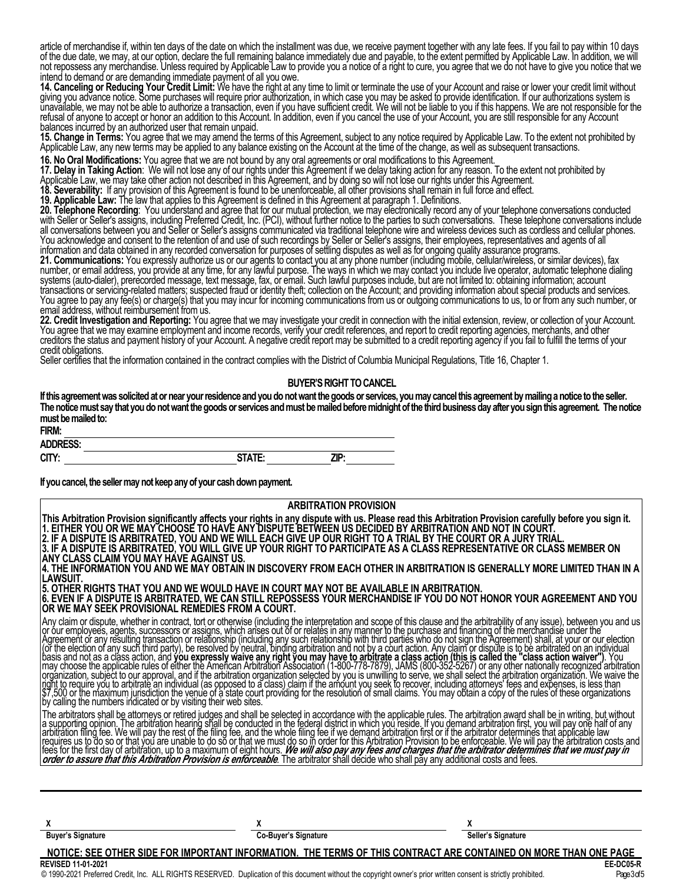article of merchandise if, within ten days of the date on which the installment was due, we receive payment together with any late fees. If you fail to pay within 10 days of the due date, we may, at our option, declare the full remaining balance immediately due and payable, to the extent permitted by Applicable Law. In addition, we will not repossess any merchandise. Unless required by Applicable Law to provide you a notice of a right to cure, you agree that we do not have to give you notice that we intend to demand or are demanding immediate payment of all you owe.

**14. Canceling or Reducing Your Credit Limit:** We have the right at any time to limit or terminate the use of your Account and raise or lower your credit limit without giving you advance notice. Some purchases will require prior authorization, in which case you may be asked to provide identification. If our authorizations system is unavailable, we may not be able to authorize a transaction, even if you have sufficient credit. We will not be liable to you if this happens. We are not responsible for the refusal of anyone to accept or honor an addition to this Account. In addition, even if you cancel the use of your Account, you are still responsible for any Account balances incurred by an authorized user that remain unpaid.

**15. Change in Terms:** You agree that we may amend the terms of this Agreement, subject to any notice required by Applicable Law. To the extent not prohibited by Applicable Law, any new terms may be applied to any balance existing on the Account at the time of the change, as well as subsequent transactions.

**16. No Oral Modifications:** You agree that we are not bound by any oral agreements or oral modifications to this Agreement.

**17. Delay in Taking Action**: We will not lose any of our rights under this Agreement if we delay taking action for any reason. To the extent not prohibited by

Applicable Law, we may take other action not described in this Agreement, and by doing so will not lose our rights under this Agreement.

**18. Severability:** If any provision of this Agreement is found to be unenforceable, all other provisions shall remain in full force and effect.

**19. Applicable Law:** The law that applies to this Agreement is defined in this Agreement at paragraph 1. Definitions.

**20. Telephone Recording**: You understand and agree that for our mutual protection, we may electronically record any of your telephone conversations conducted with Seller or Seller's assigns, including Preferred Credit, Inc. (PCI), without further notice to the parties to such conversations. These telephone conversations include all conversations between you and Seller or Seller's assigns communicated via traditional telephone wire and wireless devices such as cordless and cellular phones. You acknowledge and consent to the retention of and use of such recordings by Seller or Seller's assigns, their employees, representatives and agents of all information and data obtained in any recorded conversation for purposes of settling disputes as well as for ongoing quality assurance programs.

**21. Communications:** You expressly authorize us or our agents to contact you at any phone number (including mobile, cellular/wireless, or similar devices), fax number, or email address, you provide at any time, for any lawful purpose. The ways in which we may contact you include live operator, automatic telephone dialing systems (auto-dialer), prerecorded message, text message, fax, or email. Such lawful purposes include, but are not limited to: obtaining information; account transactions or servicing-related matters; suspected fraud or identity theft; collection on the Account; and providing information about special products and services. You agree to pay any fee(s) or charge(s) that you may incur for incoming communications from us or outgoing communications to us, to or from any such number, or You agree to pay any fee(s) or charge(s) that you may incur for incoming communications from us or outgoing communications to us, to or from any such number, or<br>email address, without reimbursement from us.

**22. Credit Investigation and Reporting:** You agree that we may investigate your credit in connection with the initial extension, review, or collection of your Account. You agree that we may examine employment and income records, verify your credit references, and report to credit reporting agencies, merchants, and other creditors the status and payment history of your Account. A negative credit report may be submitted to a credit reporting agency if you fail to fulfill the terms of your credit obligations.

Seller certifies that the information contained in the contract complies with the District of Columbia Municipal Regulations, Title 16, Chapter 1.

#### **BUYER'S RIGHT TO CANCEL**

**Ifthis agreementwas solicitedatornear yourresidence andyoudonotwantthegoodsor services, youmay cancelthis agreementbymailinganotice tothe seller. Thenoticemust say that youdonotwantthegoodsor services andmustbemailedbeforemidnightofthe thirdbusinessday after yousignthis agreement. Thenotice** must be mailed to:

| <b>FIRM:</b>                     |                    |      |
|----------------------------------|--------------------|------|
| <b>DDECC.</b><br><b>ADDRESS:</b> |                    |      |
| CITY:                            | <b>CTATE.</b><br>. | 71D. |

If you cancel, the seller may not keep any of your cash down payment.

| <b>ARBITRATION PROVISION</b>                                                                                                                                                                                                                                                                                                                                                                                                                                                                                                                                                                                                                                                                                                                                                                                                                                                                                                                                                                                                                                                                                                                                                                                                              |  |  |
|-------------------------------------------------------------------------------------------------------------------------------------------------------------------------------------------------------------------------------------------------------------------------------------------------------------------------------------------------------------------------------------------------------------------------------------------------------------------------------------------------------------------------------------------------------------------------------------------------------------------------------------------------------------------------------------------------------------------------------------------------------------------------------------------------------------------------------------------------------------------------------------------------------------------------------------------------------------------------------------------------------------------------------------------------------------------------------------------------------------------------------------------------------------------------------------------------------------------------------------------|--|--|
| This Arbitration Provision significantly affects your rights in any dispute with us. Please read this Arbitration Provision carefully before you sign it.<br>1. EITHER YOU OR WE MAY CHOOSE TO HAVE ANY DISPUTE BETWEEN US DECIDED BY ARBITRATION AND NOT IN COURT.<br>2. IF A DISPUTE IS ARBITRATED, YOU AND WE WILL EACH GIVE UP OUR RIGHT TO A TRIAL BY THE COURT OR A JURY TRIAL.<br>3. IF A DISPUTE IS ARBITRATED, YOU WILL GIVE UP YOUR RIGHT TO PARTICIPATE AS A CLASS REPRESENTATIVE OR CLASS MEMBER ON<br>IANY CLASS CLAIM YOU MAY HAVE AGAINST US.<br>4. THE INFORMATION YOU AND WE MAY OBTAIN IN DISCOVERY FROM EACH OTHER IN ARBITRATION IS GENERALLY MORE LIMITED THAN IN A<br>ILAWSUIT.<br>5. OTHER RIGHTS THAT YOU AND WE WOULD HAVE IN COURT MAY NOT BE AVAILABLE IN ARBITRATION.<br>6. EVEN IF A DISPUTE IS ARBITRATED. WE CAN STILL REPOSSESS YOUR MERCHANDISE IF YOU DO NOT HONOR YOUR AGREEMENT AND YOU<br>OR WE MAY SEEK PROVISIONAL REMEDIES FROM A COURT.                                                                                                                                                                                                                                                          |  |  |
| Any claim or dispute, whether in contract, tort or otherwise (including the interpretation and scope of this clause and the arbitrability of any issue), between you and us<br> or our employees, agents, successors or assigns,<br>Agreement or any resulting transaction or relationship (including any such relationship with third parties who do not sign the Agreement) shall, at your or our election<br>(or the election of any such third party), be resolved by neutral, binding arbitration and not by a court action. Any claim or dispute is to be arbitrated on an individual<br>basis and not as a class action, and you expressly waive any right you may have to arbitrate a class action (this is called the "class action waiver"). You<br>may choose the applicable rules of either the American Arbitration Association (1-800-778-7879), JAMS (800-352-5267) or any other nationally recognized arbitration<br>organization, subject to our approval, and if the arbitration organization selected by you is unwilling to serve, we shall select the arbitration organization. We waive the<br>Iright to require you to arbitrate an individual<br>by calling the numbers indicated or by visiting their web sites. |  |  |
| The arbitrators shall be attorneys or retired judges and shall be selected in accordance with the applicable rules. The arbitration award shall be in writing, but without<br> a supporting opinion. The arbitration hearing shal<br>requires us to do so or that you are unable to do so or that we must do so in order for this Arbitration Provision to be enforceable. We will pay the arbitration costs and<br>fees for the first day of arbitration, up to a max                                                                                                                                                                                                                                                                                                                                                                                                                                                                                                                                                                                                                                                                                                                                                                    |  |  |
|                                                                                                                                                                                                                                                                                                                                                                                                                                                                                                                                                                                                                                                                                                                                                                                                                                                                                                                                                                                                                                                                                                                                                                                                                                           |  |  |

 $X$  **X**  $X$ **Buyer's Signature Co-Buyer's Signature Seller's Signature Seller's Signature Seller's Signature** 

**NOTICE: SEE OTHER SIDE FOR IMPORTANT INFORMATION. THE TERMS OF THIS CONTRACT ARE CONTAINED ON MORE THAN ONE PAGE**

#### **REVISED 11-01-2021 EE-DC05-R**

© 1990-2021 Preferred Credit, Inc. ALL RIGHTS RESERVED. Duplication of this document without the copyright owner's prior written consent is strictly prohibited. Page3of5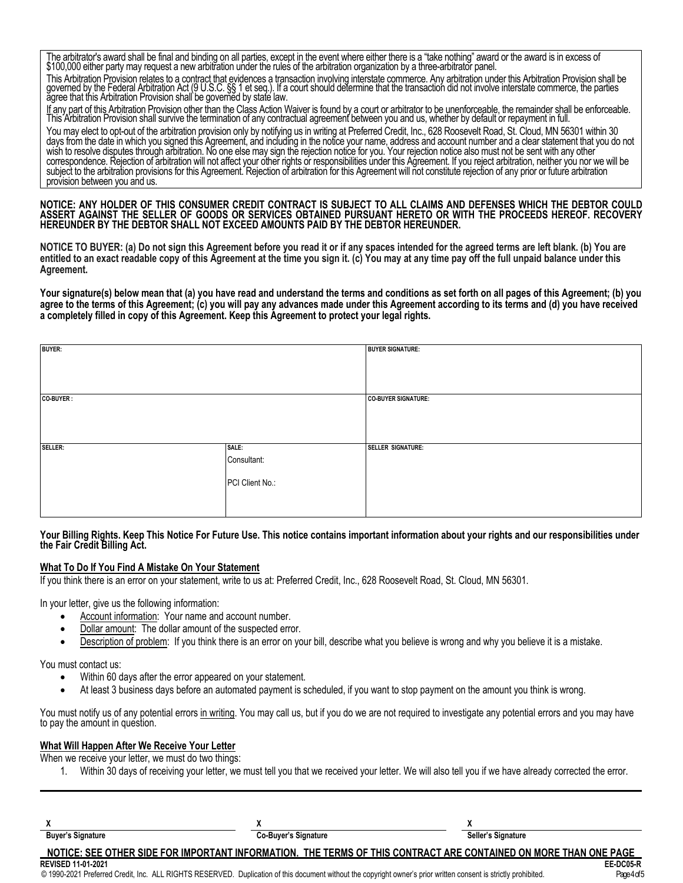The arbitrator's award shall be final and binding on all parties, except in the event where either there is a "take nothing" award or the award is in excess of \$100,000 either party may request a new arbitration under the rules of the arbitration organization by a three-arbitrator panel.

This Arbitration Provision relates to a contract that evidences a transaction involving interstate commerce. Any arbitration under this Arbitration Provision shall be governed by the Federal Arbitration Act (9 U.S.C. §§ 1 et seq.). If a court should determine that the transaction did not involve interstate commerce, the parties ăgree that this Arbitration Provision shall`be goverñĕd by staté law.

If any part of this Arbitration Provision other than the Class Action Waiver is found by a court or arbitrator to be unenforceable, the remainder shall be enforceable. This Arbitration Provision shall survive the termination of any contractual agreement between you and us, whether by default or repayment in full.

You may elect to opt-out of the arbitration provision only by notifying us in writing at Preferred Credit, Inc., 628 Roosevelt Road, St. Cloud, MN 56301 within 30 days from the date in which you signed this Agreement, and including in the notice your name, address and account number and a clear statement that you do not wish to resolve disputes through arbitration. No one else may sign the rejection notice for you. Your rejection notice also must not be sent with any other correspondence. Rejection of arbitration will not affect your other rights or responsibilities under this Agreement. If you reject arbitration, neither you nor we will be subject to the arbitration provisions for this Agreement. Rejection of arbitration for this Agreement will not constitute rejection of any prior or future arbitration provision between you and us.

**NOTICE: ANY HOLDER OF THIS CONSUMER CREDIT CONTRACT IS SUBJECT TO ALL CLAIMS AND DEFENSES WHICH THE DEBTOR COULD ASSERT AGAINST THE SELLER OF GOODS OR SERVICES OBTAINED PURSUANT HERETO OR WITH THE PROCEEDS HEREOF. RECOVERY HEREUNDER BY THE DEBTOR SHALL NOT EXCEED AMOUNTS PAID BY THE DEBTOR HEREUNDER.**

**NOTICE TO BUYER: (a) Do not sign this Agreement before you read it or if any spaces intended for the agreed terms are left blank. (b) You are entitled to an exact readable copy of this Agreement at the time you sign it. (c) You may at any time pay off the full unpaid balance under this Agreement.**

**Your signature(s) below mean that (a) you have read and understand the terms and conditions as set forth on all pages of this Agreement; (b) you agree to the terms of this Agreement; (c) you will pay any advances made under this Agreement according to its terms and (d) you have received a completely filled in copy of this Agreement. Keep this Agreement to protect your legal rights.**

| BUYER:    |                 | <b>BUYER SIGNATURE:</b>    |
|-----------|-----------------|----------------------------|
|           |                 |                            |
| CO-BUYER: |                 | <b>CO-BUYER SIGNATURE:</b> |
|           |                 |                            |
|           |                 |                            |
|           |                 |                            |
| SELLER:   | SALE:           | <b>SELLER SIGNATURE:</b>   |
|           | Consultant:     |                            |
|           |                 |                            |
|           | PCI Client No.: |                            |
|           |                 |                            |
|           |                 |                            |
|           |                 |                            |

#### **Your Billing Rights. Keep This Notice For Future Use. This notice contains important information about your rights and our responsibilities under the Fair Credit Billing Act.**

#### **What To Do If You Find A Mistake On Your Statement**

If you think there is an error on your statement, write to us at: Preferred Credit, Inc., 628 Roosevelt Road, St. Cloud, MN 56301.

In your letter, give us the following information:

- Account information: Your name and account number.
- Dollar amount: The dollar amount of the suspected error.
- Description of problem: If you think there is an error on your bill, describe what you believe is wrong and why you believe it is a mistake.

You must contact us:

- Within 60 days after the error appeared on your statement.
- At least 3 business days before an automated payment is scheduled, if you want to stop payment on the amount you think is wrong.

You must notify us of any potential errors in writing. You may call us, but if you do we are not required to investigate any potential errors and you may have to pay the amount in question.

### **What Will Happen After We Receive Your Letter**

When we receive your letter, we must do two things:

1. Within 30 days of receiving your letter, we must tell you that we received your letter. We will also tell you if we have already corrected the error.

| <b>Buyer's Signature</b> | Co-Buyer's Signature                                                                                             | Seller's Signature |
|--------------------------|------------------------------------------------------------------------------------------------------------------|--------------------|
|                          | NOTICE: SEE OTHER SIDE FOR IMPORTANT INFORMATION. THE TERMS OF THIS CONTRACT ARE CONTAINED ON MORE THAN ONE PAGE |                    |

**REVISED 11-01-2021 EE-DC05-R**